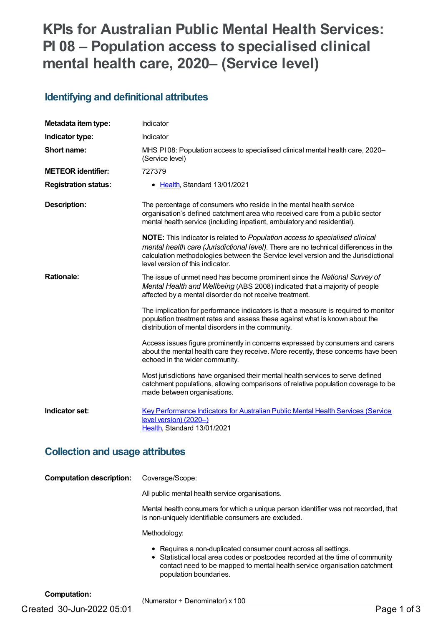# **KPIs for Australian Public Mental Health Services: PI 08 – Population access to specialised clinical mental health care, 2020– (Service level)**

### **Identifying and definitional attributes**

| Metadata item type:             | Indicator                                                                                                                                                                                                                                                                                      |
|---------------------------------|------------------------------------------------------------------------------------------------------------------------------------------------------------------------------------------------------------------------------------------------------------------------------------------------|
| Indicator type:                 | Indicator                                                                                                                                                                                                                                                                                      |
| Short name:                     | MHS PI08: Population access to specialised clinical mental health care, 2020–<br>(Service level)                                                                                                                                                                                               |
| <b>METEOR identifier:</b>       | 727379                                                                                                                                                                                                                                                                                         |
| <b>Registration status:</b>     | • Health, Standard 13/01/2021                                                                                                                                                                                                                                                                  |
| <b>Description:</b>             | The percentage of consumers who reside in the mental health service<br>organisation's defined catchment area who received care from a public sector<br>mental health service (including inpatient, ambulatory and residential).                                                                |
|                                 | NOTE: This indicator is related to Population access to specialised clinical<br>mental health care (Jurisdictional level). There are no technical differences in the<br>calculation methodologies between the Service level version and the Jurisdictional<br>level version of this indicator. |
| <b>Rationale:</b>               | The issue of unmet need has become prominent since the National Survey of<br>Mental Health and Wellbeing (ABS 2008) indicated that a majority of people<br>affected by a mental disorder do not receive treatment.                                                                             |
|                                 | The implication for performance indicators is that a measure is required to monitor<br>population treatment rates and assess these against what is known about the<br>distribution of mental disorders in the community.                                                                       |
|                                 | Access issues figure prominently in concerns expressed by consumers and carers<br>about the mental health care they receive. More recently, these concerns have been<br>echoed in the wider community.                                                                                         |
|                                 | Most jurisdictions have organised their mental health services to serve defined<br>catchment populations, allowing comparisons of relative population coverage to be<br>made between organisations.                                                                                            |
| Indicator set:                  | Key Performance Indicators for Australian Public Mental Health Services (Service<br>level version) (2020-)<br>Health, Standard 13/01/2021                                                                                                                                                      |
| Collection and users attributes |                                                                                                                                                                                                                                                                                                |

#### **Collection and usage attributes**

| <b>Computation description:</b> | Coverage/Scope:                                                                                                                                                                                                                                         |
|---------------------------------|---------------------------------------------------------------------------------------------------------------------------------------------------------------------------------------------------------------------------------------------------------|
|                                 | All public mental health service organisations.                                                                                                                                                                                                         |
|                                 | Mental health consumers for which a unique person identifier was not recorded, that<br>is non-uniquely identifiable consumers are excluded.                                                                                                             |
|                                 | Methodology:                                                                                                                                                                                                                                            |
|                                 | • Requires a non-duplicated consumer count across all settings.<br>• Statistical local area codes or postcodes recorded at the time of community<br>contact need to be mapped to mental health service organisation catchment<br>population boundaries. |

#### **Computation:**

(Numerator ÷ Denominator) x 100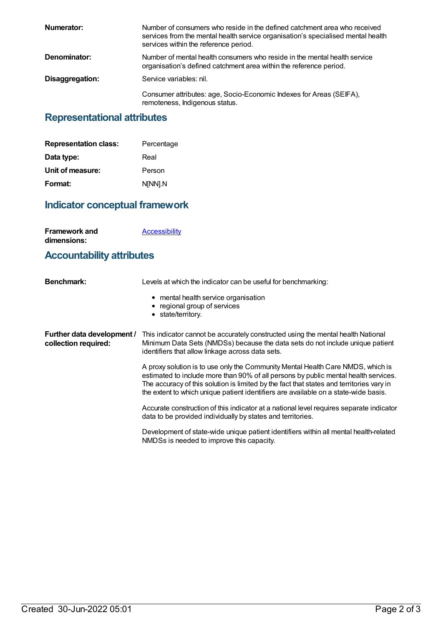| Numerator:      | Number of consumers who reside in the defined catchment area who received<br>services from the mental health service organisation's specialised mental health<br>services within the reference period. |
|-----------------|--------------------------------------------------------------------------------------------------------------------------------------------------------------------------------------------------------|
| Denominator:    | Number of mental health consumers who reside in the mental health service<br>organisation's defined catchment area within the reference period.                                                        |
| Disaggregation: | Service variables: nil.                                                                                                                                                                                |
|                 | Consumer attributes: age, Socio-Economic Indexes for Areas (SEIFA),<br>remoteness, Indigenous status.                                                                                                  |

## **Representational attributes**

| <b>Representation class:</b> | Percentage |
|------------------------------|------------|
| Data type:                   | Real       |
| Unit of measure:             | Person     |
| Format:                      | N[NN].N    |

## **Indicator conceptual framework**

| <b>Framework and</b> | <b>Accessibility</b> |
|----------------------|----------------------|
| dimensions:          |                      |

## **Accountability attributes**

| <b>Benchmark:</b>                                  | Levels at which the indicator can be useful for benchmarking:                                                                                                                                                                                                                                                                                             |
|----------------------------------------------------|-----------------------------------------------------------------------------------------------------------------------------------------------------------------------------------------------------------------------------------------------------------------------------------------------------------------------------------------------------------|
|                                                    | • mental health service organisation<br>• regional group of services<br>• state/territory.                                                                                                                                                                                                                                                                |
| Further data development /<br>collection required: | This indicator cannot be accurately constructed using the mental health National<br>Minimum Data Sets (NMDSs) because the data sets do not include unique patient<br>identifiers that allow linkage across data sets.                                                                                                                                     |
|                                                    | A proxy solution is to use only the Community Mental Health Care NMDS, which is<br>estimated to include more than 90% of all persons by public mental health services.<br>The accuracy of this solution is limited by the fact that states and territories vary in<br>the extent to which unique patient identifiers are available on a state-wide basis. |
|                                                    | Accurate construction of this indicator at a national level requires separate indicator<br>data to be provided individually by states and territories.                                                                                                                                                                                                    |
|                                                    | Development of state-wide unique patient identifiers within all mental health-related<br>NMDSs is needed to improve this capacity.                                                                                                                                                                                                                        |